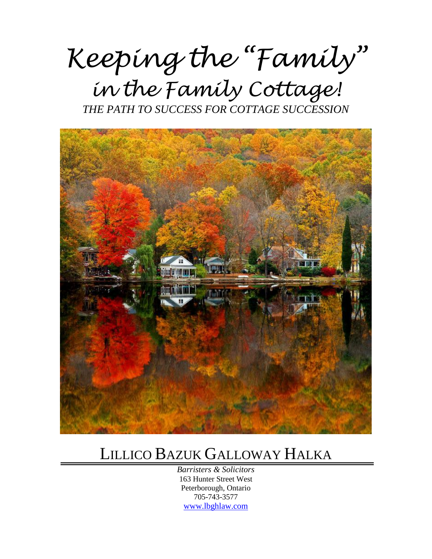*Keeping the "Family" in the Family Cottage!*

*THE PATH TO SUCCESS FOR COTTAGE SUCCESSION* 



### LILLICO BAZUK GALLOWAY HALKA

*Barristers & Solicitors* 163 Hunter Street West Peterborough, Ontario 705-743-3577 [www.lbghlaw.com](http://www.lbghlaw.com/)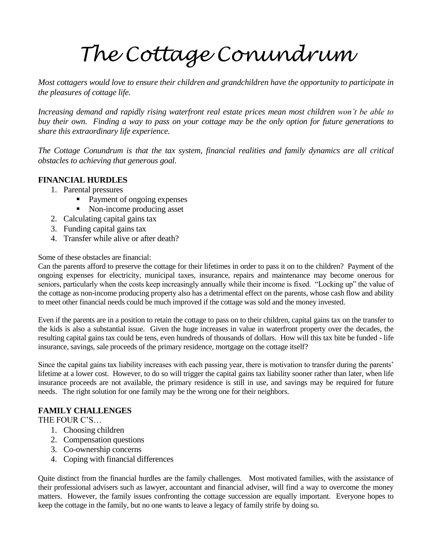## *The Cottage Conundrum*

*Most cottagers would love to ensure their children and grandchildren have the opportunity to participate in the pleasures of cottage life.* 

*Increasing demand and rapidly rising waterfront real estate prices mean most children won't be able to buy their own. Finding a way to pass on your cottage may be the only option for future generations to share this extraordinary life experience.* 

*The Cottage Conundrum is that the tax system, financial realities and family dynamics are all critical obstacles to achieving that generous goal.* 

#### **FINANCIAL HURDLES**

- 1. Parental pressures
	- Payment of ongoing expenses
	- Non-income producing asset
- 2. Calculating capital gains tax
- 3. Funding capital gains tax
- 4. Transfer while alive or after death?

Some of these obstacles are financial:

Can the parents afford to preserve the cottage for their lifetimes in order to pass it on to the children? Payment of the ongoing expenses for electricity, municipal taxes, insurance, repairs and maintenance may become onerous for seniors, particularly when the costs keep increasingly annually while their income is fixed. "Locking up" the value of the cottage as non-income producing property also has a detrimental effect on the parents, whose cash flow and ability to meet other financial needs could be much improved if the cottage was sold and the money invested.

Even if the parents are in a position to retain the cottage to pass on to their children, capital gains tax on the transfer to the kids is also a substantial issue. Given the huge increases in value in waterfront property over the decades, the resulting capital gains tax could be tens, even hundreds of thousands of dollars. How will this tax bite be funded - life insurance, savings, sale proceeds of the primary residence, mortgage on the cottage itself?

Since the capital gains tax liability increases with each passing year, there is motivation to transfer during the parents' lifetime at a lower cost. However, to do so will trigger the capital gains tax liability sooner rather than later, when life insurance proceeds are not available, the primary residence is still in use, and savings may be required for future needs. The right solution for one family may be the wrong one for their neighbors.

#### **FAMILY CHALLENGES**

THE FOUR C'S…

- 1. Choosing children
- 2. Compensation questions
- 3. Co-ownership concerns
- 4. Coping with financial differences

Quite distinct from the financial hurdles are the family challenges. Most motivated families, with the assistance of their professional advisers such as lawyer, accountant and financial adviser, will find a way to overcome the money matters. However, the family issues confronting the cottage succession are equally important. Everyone hopes to keep the cottage in the family, but no one wants to leave a legacy of family strife by doing so.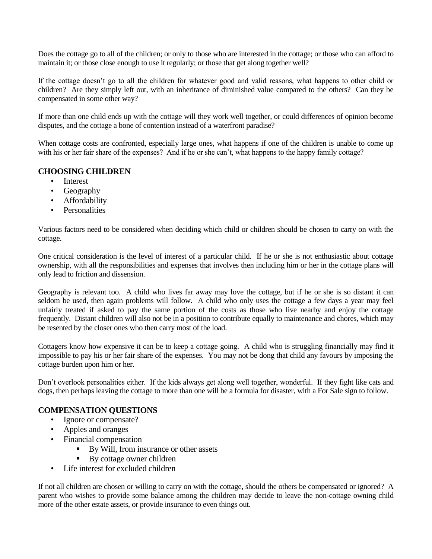Does the cottage go to all of the children; or only to those who are interested in the cottage; or those who can afford to maintain it; or those close enough to use it regularly; or those that get along together well?

If the cottage doesn't go to all the children for whatever good and valid reasons, what happens to other child or children? Are they simply left out, with an inheritance of diminished value compared to the others? Can they be compensated in some other way?

If more than one child ends up with the cottage will they work well together, or could differences of opinion become disputes, and the cottage a bone of contention instead of a waterfront paradise?

When cottage costs are confronted, especially large ones, what happens if one of the children is unable to come up with his or her fair share of the expenses? And if he or she can't, what happens to the happy family cottage?

#### **CHOOSING CHILDREN**

- **Interest**
- Geography
- Affordability
- **Personalities**

Various factors need to be considered when deciding which child or children should be chosen to carry on with the cottage.

One critical consideration is the level of interest of a particular child. If he or she is not enthusiastic about cottage ownership, with all the responsibilities and expenses that involves then including him or her in the cottage plans will only lead to friction and dissension.

Geography is relevant too. A child who lives far away may love the cottage, but if he or she is so distant it can seldom be used, then again problems will follow. A child who only uses the cottage a few days a year may feel unfairly treated if asked to pay the same portion of the costs as those who live nearby and enjoy the cottage frequently. Distant children will also not be in a position to contribute equally to maintenance and chores, which may be resented by the closer ones who then carry most of the load.

Cottagers know how expensive it can be to keep a cottage going. A child who is struggling financially may find it impossible to pay his or her fair share of the expenses. You may not be dong that child any favours by imposing the cottage burden upon him or her.

Don't overlook personalities either. If the kids always get along well together, wonderful. If they fight like cats and dogs, then perhaps leaving the cottage to more than one will be a formula for disaster, with a For Sale sign to follow.

#### **COMPENSATION QUESTIONS**

- Ignore or compensate?
- Apples and oranges
	- Financial compensation
		- By Will, from insurance or other assets
		- By cottage owner children
- Life interest for excluded children

If not all children are chosen or willing to carry on with the cottage, should the others be compensated or ignored? A parent who wishes to provide some balance among the children may decide to leave the non-cottage owning child more of the other estate assets, or provide insurance to even things out.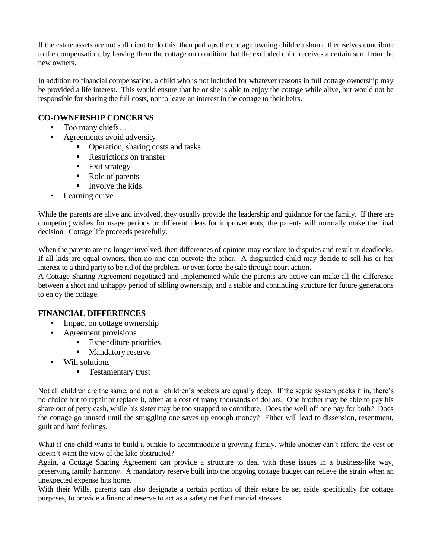If the estate assets are not sufficient to do this, then perhaps the cottage owning children should themselves contribute to the compensation, by leaving them the cottage on condition that the excluded child receives a certain sum from the new owners.

In addition to financial compensation, a child who is not included for whatever reasons in full cottage ownership may be provided a life interest. This would ensure that he or she is able to enjoy the cottage while alive, but would not be responsible for sharing the full costs, nor to leave an interest in the cottage to their heirs.

#### **CO-OWNERSHIP CONCERNS**

- Too many chiefs…
- Agreements avoid adversity
	- Operation, sharing costs and tasks
	- Restrictions on transfer
	- **Exit strategy**
	- Role of parents
	- $\blacksquare$  Involve the kids
- Learning curve

While the parents are alive and involved, they usually provide the leadership and guidance for the family. If there are competing wishes for usage periods or different ideas for improvements, the parents will normally make the final decision. Cottage life proceeds peacefully.

When the parents are no longer involved, then differences of opinion may escalate to disputes and result in deadlocks. If all kids are equal owners, then no one can outvote the other. A disgruntled child may decide to sell his or her interest to a third party to be rid of the problem, or even force the sale through court action.

A Cottage Sharing Agreement negotiated and implemented while the parents are active can make all the difference between a short and unhappy period of sibling ownership, and a stable and continuing structure for future generations to enjoy the cottage.

#### **FINANCIAL DIFFERENCES**

- Impact on cottage ownership
- Agreement provisions
	- Expenditure priorities
	- Mandatory reserve
- Will solutions
	- **Testamentary trust**

Not all children are the same, and not all children's pockets are equally deep. If the septic system packs it in, there's no choice but to repair or replace it, often at a cost of many thousands of dollars. One brother may be able to pay his share out of petty cash, while his sister may be too strapped to contribute. Does the well off one pay for both? Does the cottage go unused until the struggling one saves up enough money? Either will lead to dissension, resentment, guilt and hard feelings.

What if one child wants to build a bunkie to accommodate a growing family, while another can't afford the cost or doesn't want the view of the lake obstructed?

Again, a Cottage Sharing Agreement can provide a structure to deal with these issues in a business-like way, preserving family harmony. A mandatory reserve built into the ongoing cottage budget can relieve the strain when an unexpected expense hits home.

With their Wills, parents can also designate a certain portion of their estate be set aside specifically for cottage purposes, to provide a financial reserve to act as a safety net for financial stresses.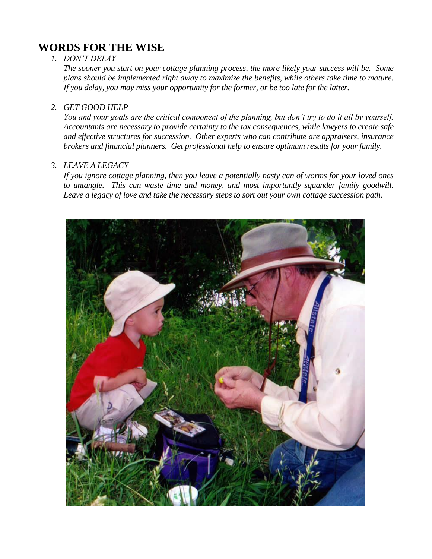#### **WORDS FOR THE WISE**

#### *1. DON'T DELAY*

*The sooner you start on your cottage planning process, the more likely your success will be. Some plans should be implemented right away to maximize the benefits, while others take time to mature. If you delay, you may miss your opportunity for the former, or be too late for the latter.* 

#### *2. GET GOOD HELP*

*You and your goals are the critical component of the planning, but don't try to do it all by yourself. Accountants are necessary to provide certainty to the tax consequences, while lawyers to create safe and effective structures for succession. Other experts who can contribute are appraisers, insurance brokers and financial planners. Get professional help to ensure optimum results for your family.*

#### *3. LEAVE A LEGACY*

*If you ignore cottage planning, then you leave a potentially nasty can of worms for your loved ones to untangle. This can waste time and money, and most importantly squander family goodwill. Leave a legacy of love and take the necessary steps to sort out your own cottage succession path.* 

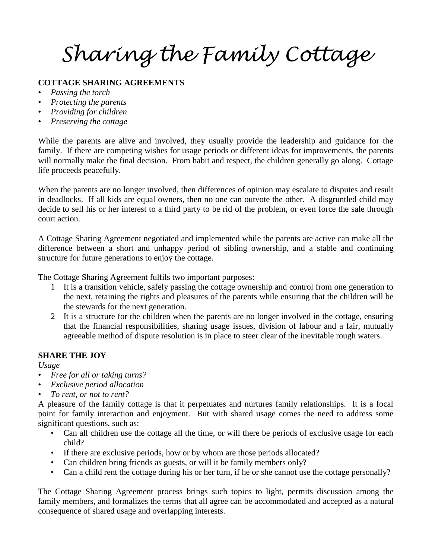*Sharing the Family Cottage*

#### **COTTAGE SHARING AGREEMENTS**

- *Passing the torch*
- *Protecting the parents*
- *Providing for children*
- *Preserving the cottage*

While the parents are alive and involved, they usually provide the leadership and guidance for the family. If there are competing wishes for usage periods or different ideas for improvements, the parents will normally make the final decision. From habit and respect, the children generally go along. Cottage life proceeds peacefully.

When the parents are no longer involved, then differences of opinion may escalate to disputes and result in deadlocks. If all kids are equal owners, then no one can outvote the other. A disgruntled child may decide to sell his or her interest to a third party to be rid of the problem, or even force the sale through court action.

A Cottage Sharing Agreement negotiated and implemented while the parents are active can make all the difference between a short and unhappy period of sibling ownership, and a stable and continuing structure for future generations to enjoy the cottage.

The Cottage Sharing Agreement fulfils two important purposes:

- 1 It is a transition vehicle, safely passing the cottage ownership and control from one generation to the next, retaining the rights and pleasures of the parents while ensuring that the children will be the stewards for the next generation.
- 2 It is a structure for the children when the parents are no longer involved in the cottage, ensuring that the financial responsibilities, sharing usage issues, division of labour and a fair, mutually agreeable method of dispute resolution is in place to steer clear of the inevitable rough waters.

#### **SHARE THE JOY**

*Usage*

- *Free for all or taking turns?*
- *Exclusive period allocation*
- *To rent, or not to rent?*

A pleasure of the family cottage is that it perpetuates and nurtures family relationships. It is a focal point for family interaction and enjoyment. But with shared usage comes the need to address some significant questions, such as:

- Can all children use the cottage all the time, or will there be periods of exclusive usage for each child?
- If there are exclusive periods, how or by whom are those periods allocated?
- Can children bring friends as guests, or will it be family members only?
- Can a child rent the cottage during his or her turn, if he or she cannot use the cottage personally?

The Cottage Sharing Agreement process brings such topics to light, permits discussion among the family members, and formalizes the terms that all agree can be accommodated and accepted as a natural consequence of shared usage and overlapping interests.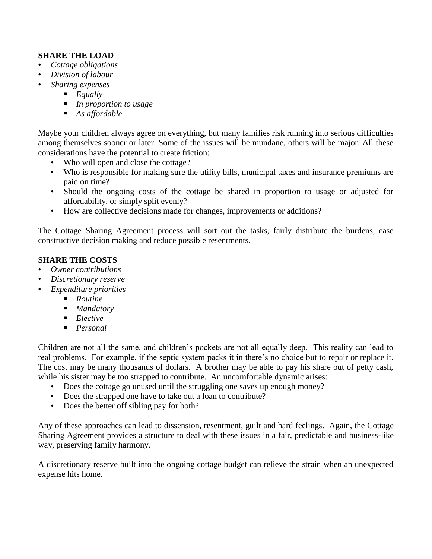#### **SHARE THE LOAD**

- *Cottage obligations*
- *Division of labour*
- *Sharing expenses*
	- *Equally*
	- *In proportion to usage*
	- *As affordable*

Maybe your children always agree on everything, but many families risk running into serious difficulties among themselves sooner or later. Some of the issues will be mundane, others will be major. All these considerations have the potential to create friction:

- Who will open and close the cottage?
- Who is responsible for making sure the utility bills, municipal taxes and insurance premiums are paid on time?
- Should the ongoing costs of the cottage be shared in proportion to usage or adjusted for affordability, or simply split evenly?
- How are collective decisions made for changes, improvements or additions?

The Cottage Sharing Agreement process will sort out the tasks, fairly distribute the burdens, ease constructive decision making and reduce possible resentments.

#### **SHARE THE COSTS**

- *Owner contributions*
- *Discretionary reserve*
- *Expenditure priorities*
	- *Routine*
	- *Mandatory*
	- *Elective*
	- *Personal*

Children are not all the same, and children's pockets are not all equally deep. This reality can lead to real problems. For example, if the septic system packs it in there's no choice but to repair or replace it. The cost may be many thousands of dollars. A brother may be able to pay his share out of petty cash, while his sister may be too strapped to contribute. An uncomfortable dynamic arises:

- Does the cottage go unused until the struggling one saves up enough money?
- Does the strapped one have to take out a loan to contribute?
- Does the better off sibling pay for both?

Any of these approaches can lead to dissension, resentment, guilt and hard feelings. Again, the Cottage Sharing Agreement provides a structure to deal with these issues in a fair, predictable and business-like way, preserving family harmony.

A discretionary reserve built into the ongoing cottage budget can relieve the strain when an unexpected expense hits home.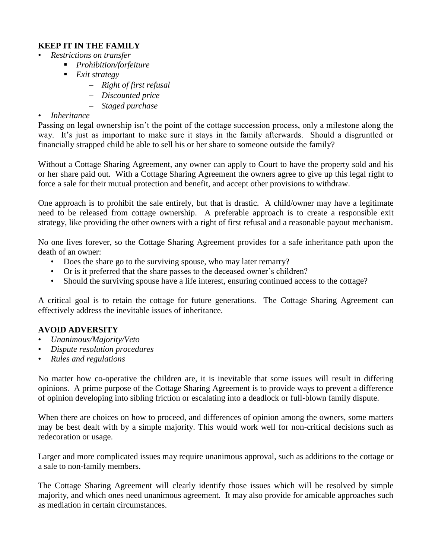#### **KEEP IT IN THE FAMILY**

- *Restrictions on transfer*
	- *Prohibition/forfeiture*
	- *Exit strategy*
		- *Right of first refusal*
		- *Discounted price*
		- *Staged purchase*

#### • *Inheritance*

Passing on legal ownership isn't the point of the cottage succession process, only a milestone along the way. It's just as important to make sure it stays in the family afterwards. Should a disgruntled or financially strapped child be able to sell his or her share to someone outside the family?

Without a Cottage Sharing Agreement, any owner can apply to Court to have the property sold and his or her share paid out. With a Cottage Sharing Agreement the owners agree to give up this legal right to force a sale for their mutual protection and benefit, and accept other provisions to withdraw.

One approach is to prohibit the sale entirely, but that is drastic. A child/owner may have a legitimate need to be released from cottage ownership. A preferable approach is to create a responsible exit strategy, like providing the other owners with a right of first refusal and a reasonable payout mechanism.

No one lives forever, so the Cottage Sharing Agreement provides for a safe inheritance path upon the death of an owner:

- Does the share go to the surviving spouse, who may later remarry?
- Or is it preferred that the share passes to the deceased owner's children?
- Should the surviving spouse have a life interest, ensuring continued access to the cottage?

A critical goal is to retain the cottage for future generations. The Cottage Sharing Agreement can effectively address the inevitable issues of inheritance.

#### **AVOID ADVERSITY**

- *Unanimous/Majority/Veto*
- *Dispute resolution procedures*
- *Rules and regulations*

No matter how co-operative the children are, it is inevitable that some issues will result in differing opinions. A prime purpose of the Cottage Sharing Agreement is to provide ways to prevent a difference of opinion developing into sibling friction or escalating into a deadlock or full-blown family dispute.

When there are choices on how to proceed, and differences of opinion among the owners, some matters may be best dealt with by a simple majority. This would work well for non-critical decisions such as redecoration or usage.

Larger and more complicated issues may require unanimous approval, such as additions to the cottage or a sale to non-family members.

The Cottage Sharing Agreement will clearly identify those issues which will be resolved by simple majority, and which ones need unanimous agreement. It may also provide for amicable approaches such as mediation in certain circumstances.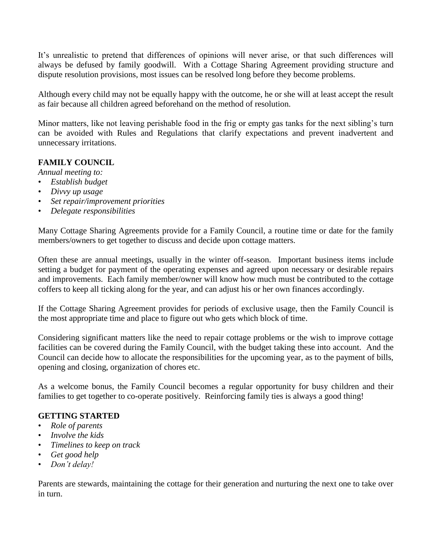It's unrealistic to pretend that differences of opinions will never arise, or that such differences will always be defused by family goodwill. With a Cottage Sharing Agreement providing structure and dispute resolution provisions, most issues can be resolved long before they become problems.

Although every child may not be equally happy with the outcome, he or she will at least accept the result as fair because all children agreed beforehand on the method of resolution.

Minor matters, like not leaving perishable food in the frig or empty gas tanks for the next sibling's turn can be avoided with Rules and Regulations that clarify expectations and prevent inadvertent and unnecessary irritations.

#### **FAMILY COUNCIL**

*Annual meeting to:*

- *Establish budget*
- *Divvy up usage*
- *Set repair/improvement priorities*
- *Delegate responsibilities*

Many Cottage Sharing Agreements provide for a Family Council, a routine time or date for the family members/owners to get together to discuss and decide upon cottage matters.

Often these are annual meetings, usually in the winter off-season. Important business items include setting a budget for payment of the operating expenses and agreed upon necessary or desirable repairs and improvements. Each family member/owner will know how much must be contributed to the cottage coffers to keep all ticking along for the year, and can adjust his or her own finances accordingly.

If the Cottage Sharing Agreement provides for periods of exclusive usage, then the Family Council is the most appropriate time and place to figure out who gets which block of time.

Considering significant matters like the need to repair cottage problems or the wish to improve cottage facilities can be covered during the Family Council, with the budget taking these into account. And the Council can decide how to allocate the responsibilities for the upcoming year, as to the payment of bills, opening and closing, organization of chores etc.

As a welcome bonus, the Family Council becomes a regular opportunity for busy children and their families to get together to co-operate positively. Reinforcing family ties is always a good thing!

#### **GETTING STARTED**

- *Role of parents*
- *Involve the kids*
- *Timelines to keep on track*
- *Get good help*
- *Don't delay!*

Parents are stewards, maintaining the cottage for their generation and nurturing the next one to take over in turn.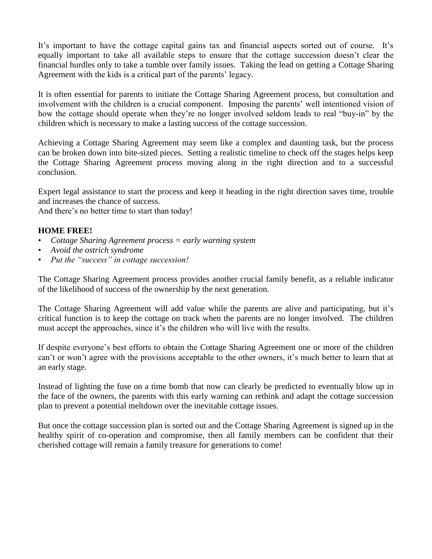It's important to have the cottage capital gains tax and financial aspects sorted out of course. It's equally important to take all available steps to ensure that the cottage succession doesn't clear the financial hurdles only to take a tumble over family issues. Taking the lead on getting a Cottage Sharing Agreement with the kids is a critical part of the parents' legacy.

It is often essential for parents to initiate the Cottage Sharing Agreement process, but consultation and involvement with the children is a crucial component. Imposing the parents' well intentioned vision of how the cottage should operate when they're no longer involved seldom leads to real "buy-in" by the children which is necessary to make a lasting success of the cottage succession.

Achieving a Cottage Sharing Agreement may seem like a complex and daunting task, but the process can be broken down into bite-sized pieces. Setting a realistic timeline to check off the stages helps keep the Cottage Sharing Agreement process moving along in the right direction and to a successful conclusion.

Expert legal assistance to start the process and keep it heading in the right direction saves time, trouble and increases the chance of success.

And there's no better time to start than today!

#### **HOME FREE!**

- *Cottage Sharing Agreement process = early warning system*
- *Avoid the ostrich syndrome*
- *Put the "success" in cottage succession!*

The Cottage Sharing Agreement process provides another crucial family benefit, as a reliable indicator of the likelihood of success of the ownership by the next generation.

The Cottage Sharing Agreement will add value while the parents are alive and participating, but it's critical function is to keep the cottage on track when the parents are no longer involved. The children must accept the approaches, since it's the children who will live with the results.

If despite everyone's best efforts to obtain the Cottage Sharing Agreement one or more of the children can't or won't agree with the provisions acceptable to the other owners, it's much better to learn that at an early stage.

Instead of lighting the fuse on a time bomb that now can clearly be predicted to eventually blow up in the face of the owners, the parents with this early warning can rethink and adapt the cottage succession plan to prevent a potential meltdown over the inevitable cottage issues.

But once the cottage succession plan is sorted out and the Cottage Sharing Agreement is signed up in the healthy spirit of co-operation and compromise, then all family members can be confident that their cherished cottage will remain a family treasure for generations to come!